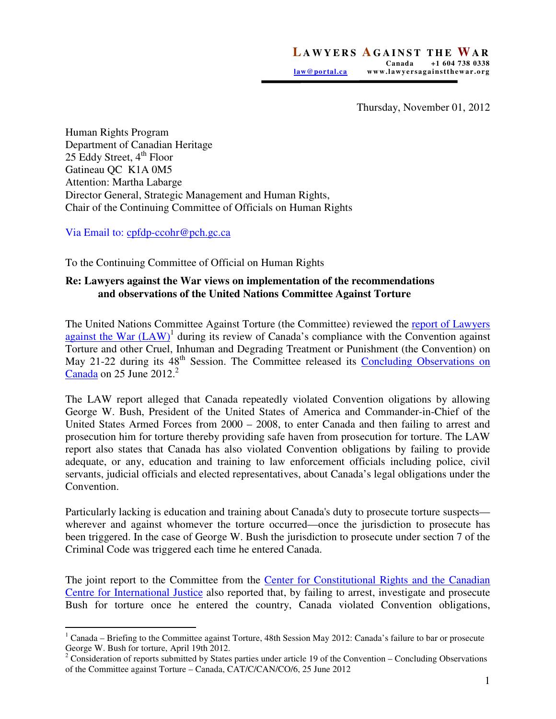Thursday, November 01, 2012

Human Rights Program Department of Canadian Heritage 25 Eddy Street,  $4<sup>th</sup>$  Floor Gatineau QC K1A 0M5 Attention: Martha Labarge Director General, Strategic Management and Human Rights, Chair of the Continuing Committee of Officials on Human Rights

Via Email to: cpfdp-ccohr@pch.gc.ca

To the Continuing Committee of Official on Human Rights

## **Re: Lawyers against the War views on implementation of the recommendations and observations of the United Nations Committee Against Torture**

The United Nations Committee Against Torture (the Committee) reviewed the report of Lawyers against the War  $(LAW)$ <sup>1</sup> during its review of Canada's compliance with the Convention against Torture and other Cruel, Inhuman and Degrading Treatment or Punishment (the Convention) on May 21-22 during its 48<sup>th</sup> Session. The Committee released its Concluding Observations on  $Canada$  on 25 June 2012.<sup>2</sup>

The LAW report alleged that Canada repeatedly violated Convention oligations by allowing George W. Bush, President of the United States of America and Commander-in-Chief of the United States Armed Forces from 2000 – 2008, to enter Canada and then failing to arrest and prosecution him for torture thereby providing safe haven from prosecution for torture. The LAW report also states that Canada has also violated Convention obligations by failing to provide adequate, or any, education and training to law enforcement officials including police, civil servants, judicial officials and elected representatives, about Canada's legal obligations under the Convention.

Particularly lacking is education and training about Canada's duty to prosecute torture suspects wherever and against whomever the torture occurred—once the jurisdiction to prosecute has been triggered. In the case of George W. Bush the jurisdiction to prosecute under section 7 of the Criminal Code was triggered each time he entered Canada.

The joint report to the Committee from the Center for Constitutional Rights and the Canadian Centre for International Justice also reported that, by failing to arrest, investigate and prosecute Bush for torture once he entered the country, Canada violated Convention obligations,

 $\overline{a}$  $1$  Canada – Briefing to the Committee against Torture, 48th Session May 2012: Canada's failure to bar or prosecute George W. Bush for torture, April 19th 2012.

 $2^2$  Consideration of reports submitted by States parties under article 19 of the Convention – Concluding Observations of the Committee against Torture – Canada, CAT/C/CAN/CO/6, 25 June 2012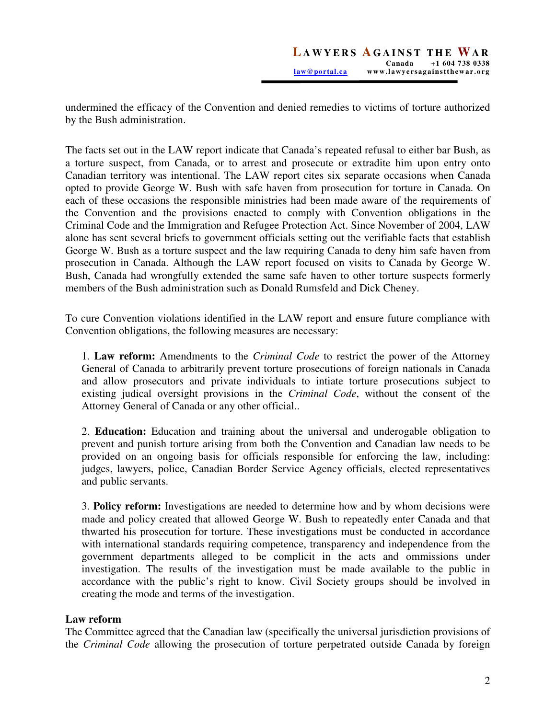undermined the efficacy of the Convention and denied remedies to victims of torture authorized by the Bush administration.

The facts set out in the LAW report indicate that Canada's repeated refusal to either bar Bush, as a torture suspect, from Canada, or to arrest and prosecute or extradite him upon entry onto Canadian territory was intentional. The LAW report cites six separate occasions when Canada opted to provide George W. Bush with safe haven from prosecution for torture in Canada. On each of these occasions the responsible ministries had been made aware of the requirements of the Convention and the provisions enacted to comply with Convention obligations in the Criminal Code and the Immigration and Refugee Protection Act. Since November of 2004, LAW alone has sent several briefs to government officials setting out the verifiable facts that establish George W. Bush as a torture suspect and the law requiring Canada to deny him safe haven from prosecution in Canada. Although the LAW report focused on visits to Canada by George W. Bush, Canada had wrongfully extended the same safe haven to other torture suspects formerly members of the Bush administration such as Donald Rumsfeld and Dick Cheney.

To cure Convention violations identified in the LAW report and ensure future compliance with Convention obligations, the following measures are necessary:

1. **Law reform:** Amendments to the *Criminal Code* to restrict the power of the Attorney General of Canada to arbitrarily prevent torture prosecutions of foreign nationals in Canada and allow prosecutors and private individuals to intiate torture prosecutions subject to existing judical oversight provisions in the *Criminal Code*, without the consent of the Attorney General of Canada or any other official..

2. **Education:** Education and training about the universal and underogable obligation to prevent and punish torture arising from both the Convention and Canadian law needs to be provided on an ongoing basis for officials responsible for enforcing the law, including: judges, lawyers, police, Canadian Border Service Agency officials, elected representatives and public servants.

3. **Policy reform:** Investigations are needed to determine how and by whom decisions were made and policy created that allowed George W. Bush to repeatedly enter Canada and that thwarted his prosecution for torture. These investigations must be conducted in accordance with international standards requiring competence, transparency and independence from the government departments alleged to be complicit in the acts and ommissions under investigation. The results of the investigation must be made available to the public in accordance with the public's right to know. Civil Society groups should be involved in creating the mode and terms of the investigation.

## **Law reform**

The Committee agreed that the Canadian law (specifically the universal jurisdiction provisions of the *Criminal Code* allowing the prosecution of torture perpetrated outside Canada by foreign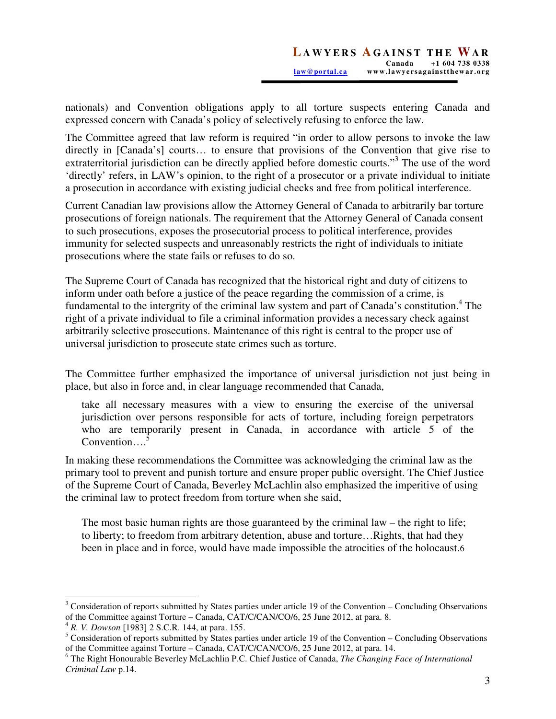nationals) and Convention obligations apply to all torture suspects entering Canada and expressed concern with Canada's policy of selectively refusing to enforce the law.

The Committee agreed that law reform is required "in order to allow persons to invoke the law directly in [Canada's] courts… to ensure that provisions of the Convention that give rise to extraterritorial jurisdiction can be directly applied before domestic courts."<sup>3</sup> The use of the word 'directly' refers, in LAW's opinion, to the right of a prosecutor or a private individual to initiate a prosecution in accordance with existing judicial checks and free from political interference.

Current Canadian law provisions allow the Attorney General of Canada to arbitrarily bar torture prosecutions of foreign nationals. The requirement that the Attorney General of Canada consent to such prosecutions, exposes the prosecutorial process to political interference, provides immunity for selected suspects and unreasonably restricts the right of individuals to initiate prosecutions where the state fails or refuses to do so.

The Supreme Court of Canada has recognized that the historical right and duty of citizens to inform under oath before a justice of the peace regarding the commission of a crime, is fundamental to the intergrity of the criminal law system and part of Canada's constitution.<sup>4</sup> The right of a private individual to file a criminal information provides a necessary check against arbitrarily selective prosecutions. Maintenance of this right is central to the proper use of universal jurisdiction to prosecute state crimes such as torture.

The Committee further emphasized the importance of universal jurisdiction not just being in place, but also in force and, in clear language recommended that Canada,

take all necessary measures with a view to ensuring the exercise of the universal jurisdiction over persons responsible for acts of torture, including foreign perpetrators who are temporarily present in Canada, in accordance with article 5 of the  $Convention...$ <sup>5</sup>

In making these recommendations the Committee was acknowledging the criminal law as the primary tool to prevent and punish torture and ensure proper public oversight. The Chief Justice of the Supreme Court of Canada, Beverley McLachlin also emphasized the imperitive of using the criminal law to protect freedom from torture when she said,

The most basic human rights are those guaranteed by the criminal law – the right to life; to liberty; to freedom from arbitrary detention, abuse and torture…Rights, that had they been in place and in force, would have made impossible the atrocities of the holocaust.6

 $\overline{a}$ 

 $3$  Consideration of reports submitted by States parties under article 19 of the Convention – Concluding Observations of the Committee against Torture – Canada, CAT/C/CAN/CO/6, 25 June 2012, at para. 8.

<sup>4</sup> *R. V. Dowson* [1983] 2 S.C.R. 144, at para. 155.

 $<sup>5</sup>$  Consideration of reports submitted by States parties under article 19 of the Convention – Concluding Observations</sup> of the Committee against Torture – Canada, CAT/C/CAN/CO/6, 25 June 2012, at para. 14.

<sup>6</sup> The Right Honourable Beverley McLachlin P.C. Chief Justice of Canada, *The Changing Face of International Criminal Law* p.14.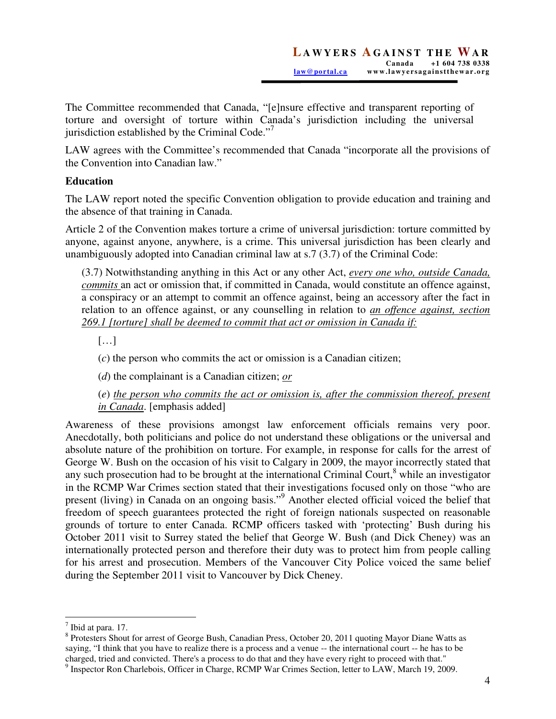The Committee recommended that Canada, "[e]nsure effective and transparent reporting of torture and oversight of torture within Canada's jurisdiction including the universal jurisdiction established by the Criminal Code. $"$ 

LAW agrees with the Committee's recommended that Canada "incorporate all the provisions of the Convention into Canadian law."

## **Education**

The LAW report noted the specific Convention obligation to provide education and training and the absence of that training in Canada.

Article 2 of the Convention makes torture a crime of universal jurisdiction: torture committed by anyone, against anyone, anywhere, is a crime. This universal jurisdiction has been clearly and unambiguously adopted into Canadian criminal law at s.7 (3.7) of the Criminal Code:

(3.7) Notwithstanding anything in this Act or any other Act, *every one who, outside Canada, commits* an act or omission that, if committed in Canada, would constitute an offence against, a conspiracy or an attempt to commit an offence against, being an accessory after the fact in relation to an offence against, or any counselling in relation to *an offence against, section 269.1 [torture] shall be deemed to commit that act or omission in Canada if:* 

[…]

(*c*) the person who commits the act or omission is a Canadian citizen;

(*d*) the complainant is a Canadian citizen; *or*

(*e*) *the person who commits the act or omission is, after the commission thereof, present in Canada*. [emphasis added]

Awareness of these provisions amongst law enforcement officials remains very poor. Anecdotally, both politicians and police do not understand these obligations or the universal and absolute nature of the prohibition on torture. For example, in response for calls for the arrest of George W. Bush on the occasion of his visit to Calgary in 2009, the mayor incorrectly stated that any such prosecution had to be brought at the international Criminal Court, $^8$  while an investigator in the RCMP War Crimes section stated that their investigations focused only on those "who are present (living) in Canada on an ongoing basis."<sup>9</sup> Another elected official voiced the belief that freedom of speech guarantees protected the right of foreign nationals suspected on reasonable grounds of torture to enter Canada. RCMP officers tasked with 'protecting' Bush during his October 2011 visit to Surrey stated the belief that George W. Bush (and Dick Cheney) was an internationally protected person and therefore their duty was to protect him from people calling for his arrest and prosecution. Members of the Vancouver City Police voiced the same belief during the September 2011 visit to Vancouver by Dick Cheney.

 $\overline{a}$ 

 $<sup>7</sup>$  Ibid at para. 17.</sup>

<sup>&</sup>lt;sup>8</sup> Protesters Shout for arrest of George Bush, Canadian Press, October 20, 2011 quoting Mayor Diane Watts as saying, "I think that you have to realize there is a process and a venue -- the international court -- he has to be charged, tried and convicted. There's a process to do that and they have every right to proceed with that."

<sup>&</sup>lt;sup>9</sup> Inspector Ron Charlebois, Officer in Charge, RCMP War Crimes Section, letter to LAW, March 19, 2009.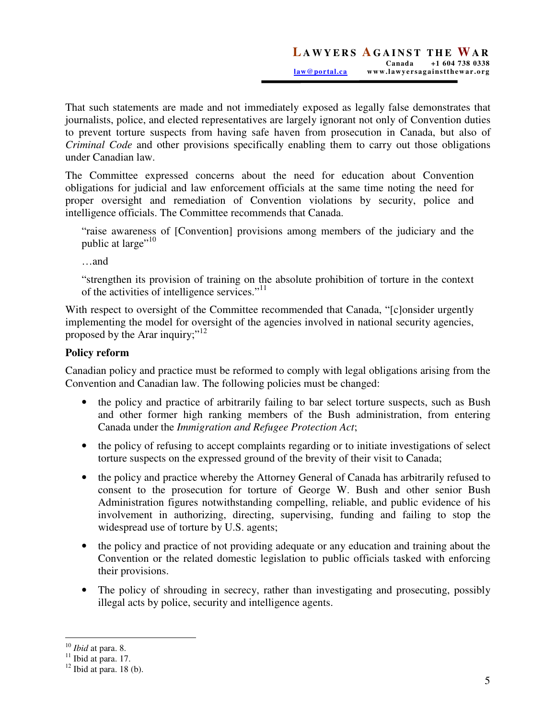That such statements are made and not immediately exposed as legally false demonstrates that journalists, police, and elected representatives are largely ignorant not only of Convention duties to prevent torture suspects from having safe haven from prosecution in Canada, but also of *Criminal Code* and other provisions specifically enabling them to carry out those obligations under Canadian law.

The Committee expressed concerns about the need for education about Convention obligations for judicial and law enforcement officials at the same time noting the need for proper oversight and remediation of Convention violations by security, police and intelligence officials. The Committee recommends that Canada.

"raise awareness of [Convention] provisions among members of the judiciary and the public at large"<sup>10</sup>

…and

"strengthen its provision of training on the absolute prohibition of torture in the context of the activities of intelligence services."<sup>11</sup>

With respect to oversight of the Committee recommended that Canada, "[c]onsider urgently implementing the model for oversight of the agencies involved in national security agencies, proposed by the Arar inquiry;"<sup>12</sup>

## **Policy reform**

Canadian policy and practice must be reformed to comply with legal obligations arising from the Convention and Canadian law. The following policies must be changed:

- the policy and practice of arbitrarily failing to bar select torture suspects, such as Bush and other former high ranking members of the Bush administration, from entering Canada under the *Immigration and Refugee Protection Act*;
- the policy of refusing to accept complaints regarding or to initiate investigations of select torture suspects on the expressed ground of the brevity of their visit to Canada;
- the policy and practice whereby the Attorney General of Canada has arbitrarily refused to consent to the prosecution for torture of George W. Bush and other senior Bush Administration figures notwithstanding compelling, reliable, and public evidence of his involvement in authorizing, directing, supervising, funding and failing to stop the widespread use of torture by U.S. agents;
- the policy and practice of not providing adequate or any education and training about the Convention or the related domestic legislation to public officials tasked with enforcing their provisions.
- The policy of shrouding in secrecy, rather than investigating and prosecuting, possibly illegal acts by police, security and intelligence agents.

 $\overline{a}$ <sup>10</sup> *Ibid* at para. 8.

 $11$  Ibid at para. 17.

 $12$  Ibid at para. 18 (b).